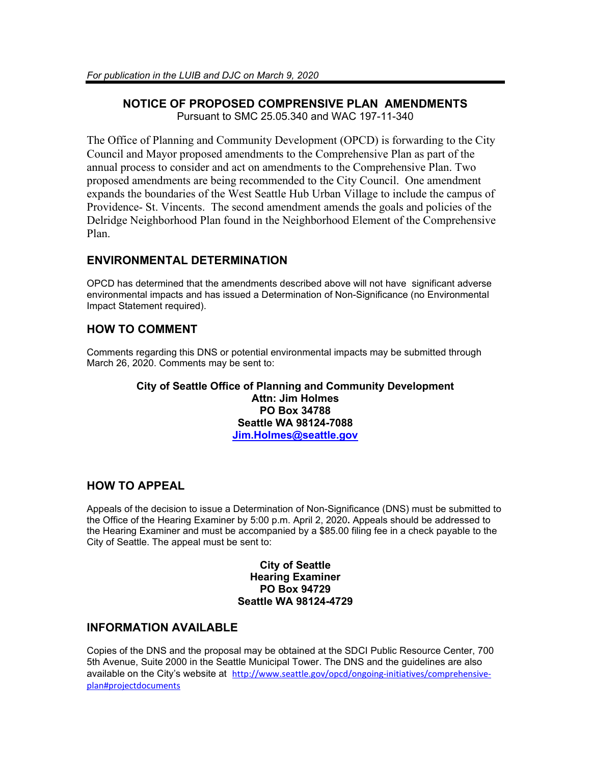#### **NOTICE OF PROPOSED COMPRENSIVE PLAN AMENDMENTS** Pursuant to SMC 25.05.340 and WAC 197-11-340

The Office of Planning and Community Development (OPCD) is forwarding to the City Council and Mayor proposed amendments to the Comprehensive Plan as part of the annual process to consider and act on amendments to the Comprehensive Plan. Two proposed amendments are being recommended to the City Council. One amendment expands the boundaries of the West Seattle Hub Urban Village to include the campus of Providence- St. Vincents. The second amendment amends the goals and policies of the Delridge Neighborhood Plan found in the Neighborhood Element of the Comprehensive Plan.

## **ENVIRONMENTAL DETERMINATION**

OPCD has determined that the amendments described above will not have significant adverse environmental impacts and has issued a Determination of Non-Significance (no Environmental Impact Statement required).

# **HOW TO COMMENT**

Comments regarding this DNS or potential environmental impacts may be submitted through March 26, 2020. Comments may be sent to:

#### **City of Seattle Office of Planning and Community Development Attn: Jim Holmes PO Box 34788 Seattle WA 98124-7088 [Jim.Holmes@seattle.gov](mailto:Jim.Holmes@seattle.gov)**

## **HOW TO APPEAL**

Appeals of the decision to issue a Determination of Non-Significance (DNS) must be submitted to the Office of the Hearing Examiner by 5:00 p.m. April 2, 2020**.** Appeals should be addressed to the Hearing Examiner and must be accompanied by a \$85.00 filing fee in a check payable to the City of Seattle. The appeal must be sent to:

### **City of Seattle Hearing Examiner PO Box 94729 Seattle WA 98124-4729**

## **INFORMATION AVAILABLE**

Copies of the DNS and the proposal may be obtained at the SDCI Public Resource Center, 700 5th Avenue, Suite 2000 in the Seattle Municipal Tower. The DNS and the guidelines are also available on the City's website at [http://www.seattle.gov/opcd/ongoing-initiatives/comprehensive](http://www.seattle.gov/opcd/ongoing-initiatives/comprehensive-plan#projectdocuments)[plan#projectdocuments](http://www.seattle.gov/opcd/ongoing-initiatives/comprehensive-plan#projectdocuments)